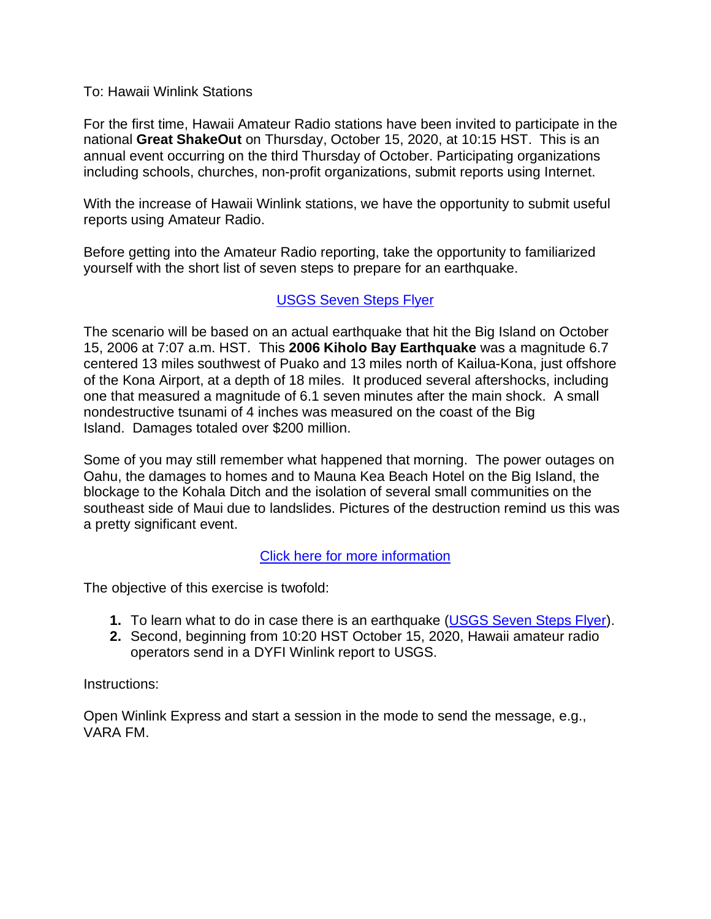### To: Hawaii Winlink Stations

For the first time, Hawaii Amateur Radio stations have been invited to participate in the national **Great ShakeOut** on Thursday, October 15, 2020, at 10:15 HST. This is an annual event occurring on the third Thursday of October. Participating organizations including schools, churches, non-profit organizations, submit reports using Internet.

With the increase of Hawaii Winlink stations, we have the opportunity to submit useful reports using Amateur Radio.

Before getting into the Amateur Radio reporting, take the opportunity to familiarized yourself with the short list of seven steps to prepare for an earthquake.

## [USGS Seven Steps Flyer](http://hawaiiares.info/2020%20Great%20Hawaii%20ShakeOut/Seven_Steps_Flyers.pdf)

The scenario will be based on an actual earthquake that hit the Big Island on October 15, 2006 at 7:07 a.m. HST. This **2006 Kiholo Bay Earthquake** was a magnitude 6.7 centered 13 miles southwest of Puako and 13 miles north of Kailua-Kona, just offshore of the Kona Airport, at a depth of 18 miles. It produced several aftershocks, including one that measured a magnitude of 6.1 seven minutes after the main shock. A small nondestructive tsunami of 4 inches was measured on the coast of the Big Island. Damages totaled over \$200 million.

Some of you may still remember what happened that morning. The power outages on Oahu, the damages to homes and to Mauna Kea Beach Hotel on the Big Island, the blockage to the Kohala Ditch and the isolation of several small communities on the southeast side of Maui due to landslides. Pictures of the destruction remind us this was a pretty significant event.

## [Click here for more information](http://hawaiiares.info/2020%20Great%20Hawaii%20ShakeOut/10-15-2006%20Kiholo%20Bay%20Earthquake.pdf)

The objective of this exercise is twofold:

- **1.** To learn what to do in case there is an earthquake [\(USGS Seven Steps Flyer\)](http://hawaiiares.info/2020%20Great%20Hawaii%20ShakeOut/Seven_Steps_Flyers.pdf).
- **2.** Second, beginning from 10:20 HST October 15, 2020, Hawaii amateur radio operators send in a DYFI Winlink report to USGS.

## Instructions:

Open Winlink Express and start a session in the mode to send the message, e.g., VARA FM.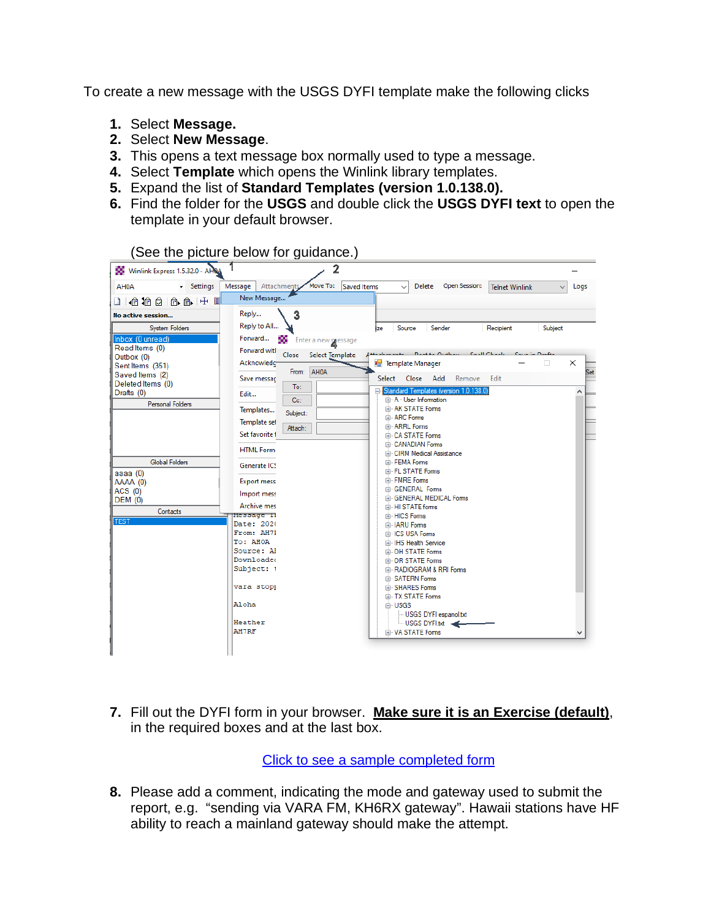To create a new message with the USGS DYFI template make the following clicks

- **1.** Select **Message.**
- **2.** Select **New Message**.
- **3.** This opens a text message box normally used to type a message.
- **4.** Select **Template** which opens the Winlink library templates.
- **5.** Expand the list of **Standard Templates (version 1.0.138.0).**
- **6.** Find the folder for the **USGS** and double click the **USGS DYFI text** to open the template in your default browser.

| Winlink Express 1.5.32.0 - APRA | 2                                               |                                                                          |          |
|---------------------------------|-------------------------------------------------|--------------------------------------------------------------------------|----------|
| AH0A<br>- Settings              | Message<br>Attachments Move To:<br>Saved Items  | <b>Delete</b><br>Open Session:<br><b>Telnet Winlink</b>                  | Logs     |
| 口怕抬白白白十日                        | New Message                                     |                                                                          |          |
| No active session               | 3<br>Reply                                      |                                                                          |          |
| <b>System Folders</b>           | Reply to All                                    | Subject<br>Source<br>Sender<br>Recipient<br>ize                          |          |
| Inbox (0 unread)                | Forward<br>œ<br>Enter a new message             |                                                                          |          |
| Read Items (0)                  | <b>Forward witl</b><br>Close<br>Select Template | Death Outlook Coall Charles                                              |          |
| Outbox (0)<br>Sent Items (351)  | Acknowledc                                      | <b>Post</b> Template Manager<br>□                                        | $\times$ |
| Saved Items (2)                 | From: AH0A                                      |                                                                          | Set      |
| Deleted Items (0)               | Save messac<br>To:                              | Select<br>Close<br>Add<br>Remove<br>Edit                                 |          |
| Drafts (0)                      | Edit                                            | Standard Templates (version 1.0.138.0)<br><b>E.</b> A - User Information | ۸        |
| <b>Personal Folders</b>         | Cc:<br>Templates                                | <b>E.</b> AK STATE Forms                                                 |          |
|                                 | Subject:                                        | <b>E.</b> ARC Forms                                                      |          |
|                                 | Template set<br>Attach:                         | <b>E-ARRL</b> Forms                                                      |          |
|                                 | Set favorite t                                  | <b>E.</b> CA STATE Forms                                                 |          |
|                                 | <b>HTML Form:</b>                               | <b>E.</b> CANADIAN Forms<br><b>E.</b> CIRM Medical Assistance            |          |
| <b>Global Folders</b>           | Generate ICS                                    | <b>EI</b> -FEMA Forms                                                    |          |
| aaaa (0)                        |                                                 | FL STATE Forms                                                           |          |
| AAAA (0)                        | <b>Export mess</b>                              | <b>E.</b> FMRE Forms                                                     |          |
| ACS (0)                         | Import mess                                     | <b>E-GENERAL Forms</b>                                                   |          |
| <b>DEM (0)</b>                  | <b>Archive mes</b>                              | <b>E.</b> GENERAL MEDICAL Forms<br><b>E. HI STATE forms</b>              |          |
| Contacts                        | Message 11                                      | <b>E. HICS Forms</b>                                                     |          |
| <b>TEST</b>                     | Date: 2020                                      | <b>E-IARU</b> Forms                                                      |          |
|                                 | From: AH71                                      | <b>E-ICS USA Forms</b>                                                   |          |
|                                 | To: AHOA<br>Source: Al                          | ia IHS Health Service                                                    |          |
|                                 | <b>Downloaded</b>                               | <b>E. OH STATE Forms</b><br><b>E-OR STATE Forms</b>                      |          |
|                                 | Subject: 1                                      | <b>E. RADIOGRAM &amp; RRI Forms</b>                                      |          |
|                                 |                                                 | <b>EI</b> SATERN Forms                                                   |          |
|                                 | vara stopp                                      | <b>E. SHARES Forms</b>                                                   |          |
|                                 | Aloha                                           | <b>EI</b> TX STATE Forms                                                 |          |
|                                 |                                                 | <b>i</b> USGS<br>USGS DYFI espanol.txt                                   |          |
|                                 | Heather                                         | USGS DYFI.txt                                                            |          |
|                                 | <b>AH7RF</b>                                    | <b>E</b> VA STATE Forms                                                  |          |
|                                 |                                                 |                                                                          |          |

(See the picture below for quidance.)

**7.** Fill out the DYFI form in your browser. **Make sure it is an Exercise (default)**, in the required boxes and at the last box.

[Click to see a sample completed form](http://hawaiiares.info/2020%20Great%20Hawaii%20ShakeOut/DYFI%20Sample.pdf)

**8.** Please add a comment, indicating the mode and gateway used to submit the report, e.g. "sending via VARA FM, KH6RX gateway". Hawaii stations have HF ability to reach a mainland gateway should make the attempt.